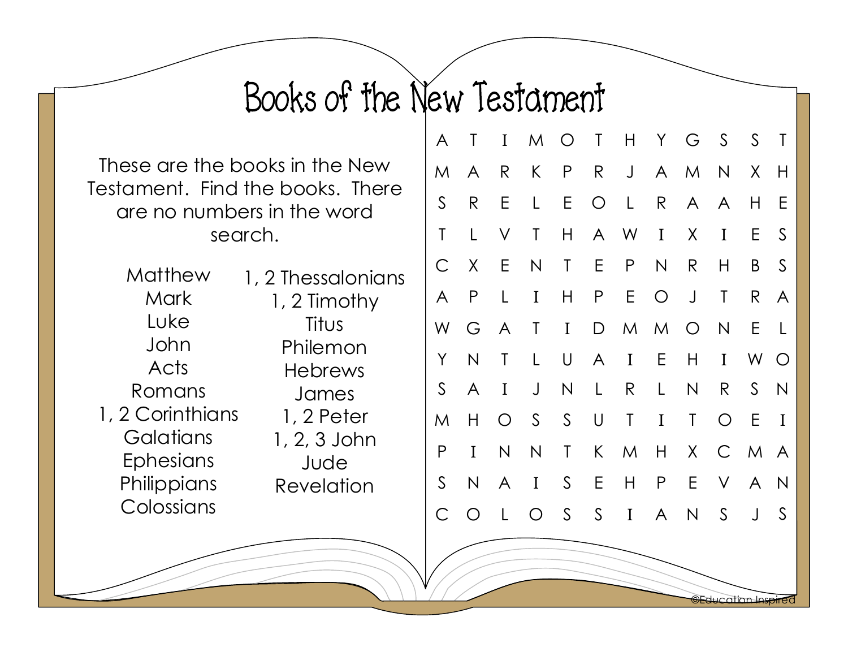## Books of the New Testament

These are the books in the New Testament. Find the books. There are no numbers in the word search.

**Matthew Mark** Luke John Acts Romans 1, 2 Corinthians **Galatians Ephesians Philippians** Colossians 1, 2 Thessalonians 1, 2 Timothy Titus Philemon Hebrews James 1, 2 Peter 1, 2, 3 John Jude Revelation

| Τ            | $\bf{I}$     |              |              |              | H               |                                                  |              | $\mathcal{S}$ | S            | $\mathsf T$     |
|--------------|--------------|--------------|--------------|--------------|-----------------|--------------------------------------------------|--------------|---------------|--------------|-----------------|
| A            | R            | K            | $\mathsf{P}$ | R            | $\bigcup$       | $\mathsf{A}$                                     |              | $\mathsf{N}$  | X            | H               |
| R            | Ε            | L            | E            | $\bigcirc$   | $\lfloor$       | $\mathsf{R}$                                     |              | $\bigwedge$   | Н            | E               |
| L            | V            | Τ            | H            |              |                 |                                                  | X            | I             | E.           | $\mathsf{S}$    |
| X            | E.           | $\mathsf{N}$ | $\mathsf T$  |              | P               | $\mathsf{N}$                                     | $\mathsf{R}$ | Н             | B            | $\mathsf{S}$    |
| P            | L            | I            | Н            | P            | $E_{\parallel}$ | $\bigcirc$                                       | $\bigcup$    | T             | R            | A               |
| G            | $\bigwedge$  | T            | $\mathbf I$  |              | M               | M                                                | $\bigcirc$   | $\mathsf{N}$  | E.           | $\lfloor$       |
| $\mathsf{N}$ | T            | L            | $\bigcup$    | $\mathsf{A}$ | $\mathbf I$     | E                                                | $\mathsf{H}$ | I             | W O          |                 |
| A            | I            | $\bigcup$    | $\mathsf{N}$ | L            | $\mathsf{R}$    | L                                                | $\mathsf{N}$ | R             | $S_{-}$      | N               |
| Н            | $\bigcirc$   |              |              | $\bigcup$    | $\mathsf T$     | $\mathbf I$                                      | $\mathsf T$  | $\bigcirc$    | E            | $\mathbf I$     |
| $\bf{I}$     | $\mathsf{N}$ | N            | $\mathsf T$  |              | M               | H                                                | $\chi$       |               |              |                 |
| $\mathsf{N}$ | A            | $\mathbf I$  | S            |              | H               | $\mathsf{P}$                                     | $\mathsf E$  |               | $\mathsf{A}$ | N               |
| $\bigcirc$   | L            | $\bigcirc$   | S            |              | $\bf{I}$        | A                                                | $\mathsf{N}$ | S             | $\bigcup$    | $\mathsf{S}$    |
|              |              |              |              | S            | S               | M O T<br>A W<br>E<br>$\mathsf{D}$<br>K<br>E<br>S |              | Y .<br>I      | G<br>M<br>A  | C M A<br>$\vee$ |

©Education Inspired